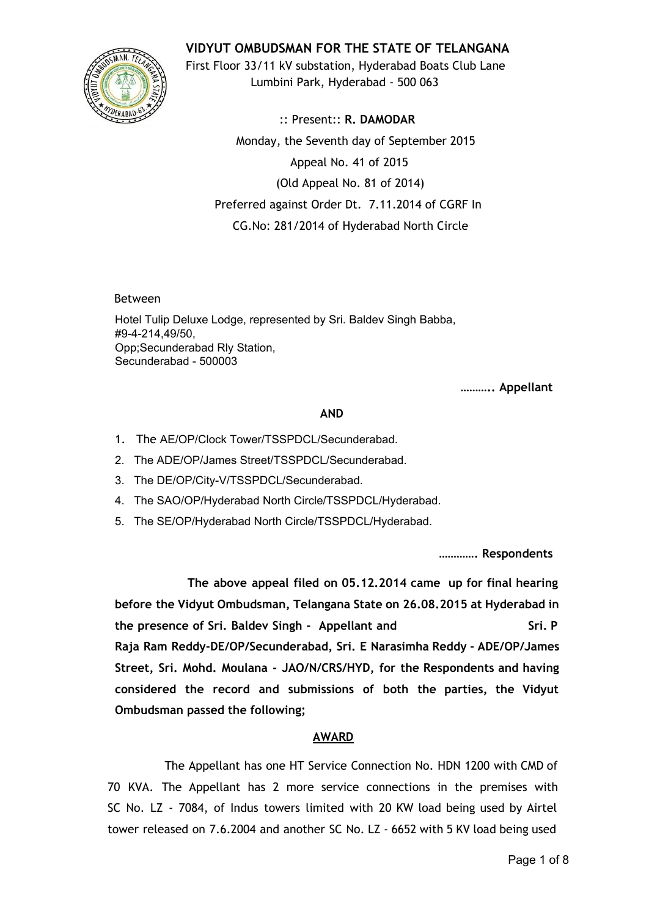

**VIDYUT OMBUDSMAN FOR THE STATE OF TELANGANA**

First Floor 33/11 kV substation, Hyderabad Boats Club Lane Lumbini Park, Hyderabad - 500 063

:: Present:: **R. DAMODAR** Monday, the Seventh day of September 2015 Appeal No. 41 of 2015 (Old Appeal No. 81 of 2014) Preferred against Order Dt. 7.11.2014 of CGRF In CG.No: 281/2014 of Hyderabad North Circle

Between

Hotel Tulip Deluxe Lodge, represented by Sri. Baldev Singh Babba, #94214,49/50, Opp;Secunderabad Rly Station, Secunderabad - 500003

**……….. Appellant**

# **AND**

- 1. The AE/OP/Clock Tower/TSSPDCL/Secunderabad.
- 2. The ADE/OP/James Street/TSSPDCL/Secunderabad.
- 3. The DE/OP/City-V/TSSPDCL/Secunderabad.
- 4. The SAO/OP/Hyderabad North Circle/TSSPDCL/Hyderabad.
- 5. The SE/OP/Hyderabad North Circle/TSSPDCL/Hyderabad.

**…………. Respondents**

**The above appeal filed on 05.12.2014 came up for final hearing before the Vidyut Ombudsman, Telangana State on 26.08.2015 at Hyderabad in the presence of Sri. Baldev Singh - Appellant and Sri. P Raja Ram Reddy-DE/OP/Secunderabad, Sri. E Narasimha Reddy - ADE/OP/James Street, Sri. Mohd. Moulana - JAO/N/CRS/HYD, for the Respondents and having considered the record and submissions of both the parties, the Vidyut Ombudsman passed the following;**

# **AWARD**

The Appellant has one HT Service Connection No. HDN 1200 with CMD of 70 KVA. The Appellant has 2 more service connections in the premises with SC No. LZ - 7084, of Indus towers limited with 20 KW load being used by Airtel tower released on 7.6.2004 and another SC No. LZ - 6652 with 5 KV load being used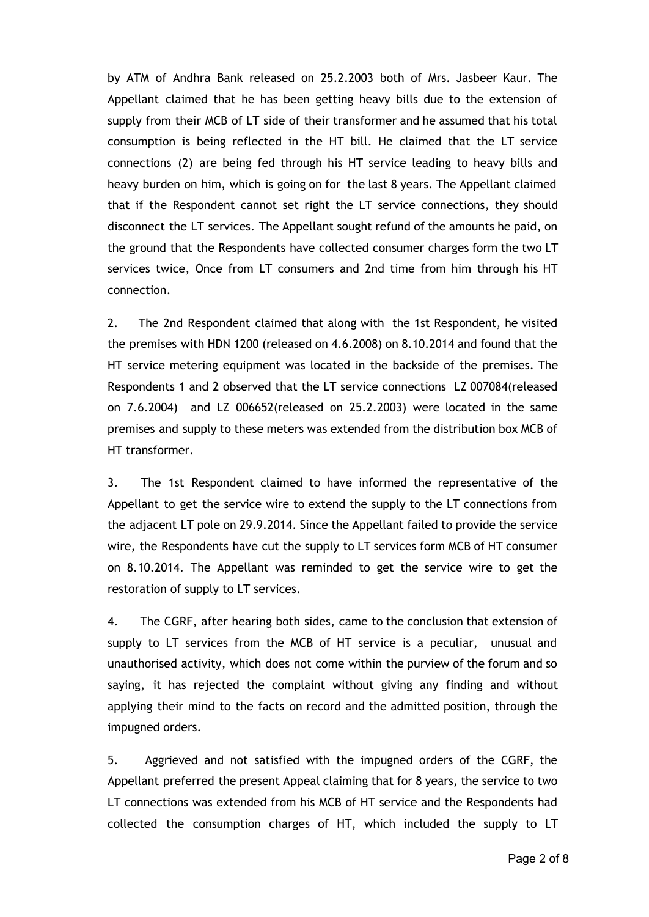by ATM of Andhra Bank released on 25.2.2003 both of Mrs. Jasbeer Kaur. The Appellant claimed that he has been getting heavy bills due to the extension of supply from their MCB of LT side of their transformer and he assumed that his total consumption is being reflected in the HT bill. He claimed that the LT service connections (2) are being fed through his HT service leading to heavy bills and heavy burden on him, which is going on for the last 8 years. The Appellant claimed that if the Respondent cannot set right the LT service connections, they should disconnect the LT services. The Appellant sought refund of the amounts he paid, on the ground that the Respondents have collected consumer charges form the two LT services twice, Once from LT consumers and 2nd time from him through his HT connection.

2. The 2nd Respondent claimed that along with the 1st Respondent, he visited the premises with HDN 1200 (released on 4.6.2008) on 8.10.2014 and found that the HT service metering equipment was located in the backside of the premises. The Respondents 1 and 2 observed that the LT service connections LZ 007084(released on 7.6.2004) and LZ 006652(released on 25.2.2003) were located in the same premises and supply to these meters was extended from the distribution box MCB of HT transformer.

3. The 1st Respondent claimed to have informed the representative of the Appellant to get the service wire to extend the supply to the LT connections from the adjacent LT pole on 29.9.2014. Since the Appellant failed to provide the service wire, the Respondents have cut the supply to LT services form MCB of HT consumer on 8.10.2014. The Appellant was reminded to get the service wire to get the restoration of supply to LT services.

4. The CGRF, after hearing both sides, came to the conclusion that extension of supply to LT services from the MCB of HT service is a peculiar, unusual and unauthorised activity, which does not come within the purview of the forum and so saying, it has rejected the complaint without giving any finding and without applying their mind to the facts on record and the admitted position, through the impugned orders.

5. Aggrieved and not satisfied with the impugned orders of the CGRF, the Appellant preferred the present Appeal claiming that for 8 years, the service to two LT connections was extended from his MCB of HT service and the Respondents had collected the consumption charges of HT, which included the supply to LT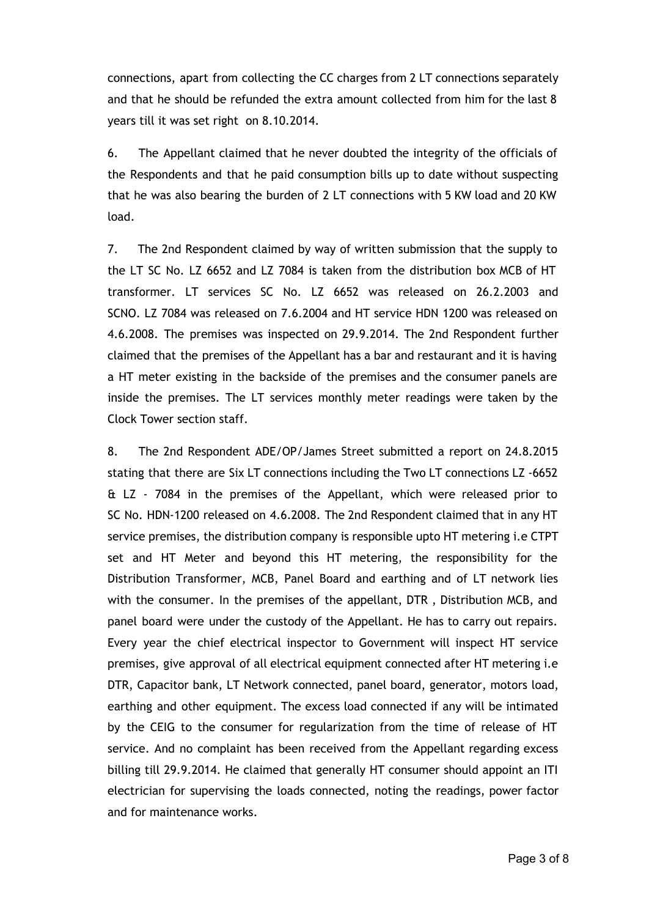connections, apart from collecting the CC charges from 2 LT connections separately and that he should be refunded the extra amount collected from him for the last 8 years till it was set right on 8.10.2014.

6. The Appellant claimed that he never doubted the integrity of the officials of the Respondents and that he paid consumption bills up to date without suspecting that he was also bearing the burden of 2 LT connections with 5 KW load and 20 KW load.

7. The 2nd Respondent claimed by way of written submission that the supply to the LT SC No. LZ 6652 and LZ 7084 is taken from the distribution box MCB of HT transformer. LT services SC No. LZ 6652 was released on 26.2.2003 and SCNO. LZ 7084 was released on 7.6.2004 and HT service HDN 1200 was released on 4.6.2008. The premises was inspected on 29.9.2014. The 2nd Respondent further claimed that the premises of the Appellant has a bar and restaurant and it is having a HT meter existing in the backside of the premises and the consumer panels are inside the premises. The LT services monthly meter readings were taken by the Clock Tower section staff.

8. The 2nd Respondent ADE/OP/James Street submitted a report on 24.8.2015 stating that there are Six LT connections including the Two LT connections LZ -6652 & LZ - 7084 in the premises of the Appellant, which were released prior to SC No. HDN-1200 released on 4.6.2008. The 2nd Respondent claimed that in any HT service premises, the distribution company is responsible upto HT metering i.e CTPT set and HT Meter and beyond this HT metering, the responsibility for the Distribution Transformer, MCB, Panel Board and earthing and of LT network lies with the consumer. In the premises of the appellant, DTR , Distribution MCB, and panel board were under the custody of the Appellant. He has to carry out repairs. Every year the chief electrical inspector to Government will inspect HT service premises, give approval of all electrical equipment connected after HT metering i.e DTR, Capacitor bank, LT Network connected, panel board, generator, motors load, earthing and other equipment. The excess load connected if any will be intimated by the CEIG to the consumer for regularization from the time of release of HT service. And no complaint has been received from the Appellant regarding excess billing till 29.9.2014. He claimed that generally HT consumer should appoint an ITI electrician for supervising the loads connected, noting the readings, power factor and for maintenance works.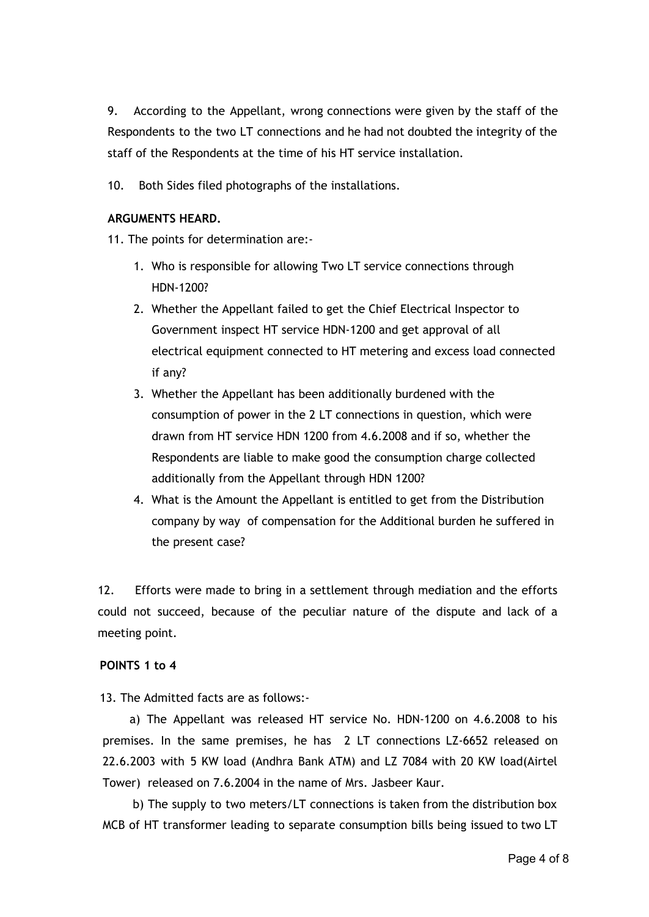9. According to the Appellant, wrong connections were given by the staff of the Respondents to the two LT connections and he had not doubted the integrity of the staff of the Respondents at the time of his HT service installation.

10. Both Sides filed photographs of the installations.

### **ARGUMENTS HEARD.**

11. The points for determination are:-

- 1. Who is responsible for allowing Two LT service connections through HDN-1200?
- 2. Whether the Appellant failed to get the Chief Electrical Inspector to Government inspect HT service HDN-1200 and get approval of all electrical equipment connected to HT metering and excess load connected if any?
- 3. Whether the Appellant has been additionally burdened with the consumption of power in the 2 LT connections in question, which were drawn from HT service HDN 1200 from 4.6.2008 and if so, whether the Respondents are liable to make good the consumption charge collected additionally from the Appellant through HDN 1200?
- 4. What is the Amount the Appellant is entitled to get from the Distribution company by way of compensation for the Additional burden he suffered in the present case?

12. Efforts were made to bring in a settlement through mediation and the efforts could not succeed, because of the peculiar nature of the dispute and lack of a meeting point.

### **POINTS 1 to 4**

13. The Admitted facts are as follows:-

a) The Appellant was released HT service No. HDN-1200 on 4.6.2008 to his premises. In the same premises, he has 2 LT connections LZ-6652 released on 22.6.2003 with 5 KW load (Andhra Bank ATM) and LZ 7084 with 20 KW load(Airtel Tower) released on 7.6.2004 in the name of Mrs. Jasbeer Kaur.

b) The supply to two meters/LT connections is taken from the distribution box MCB of HT transformer leading to separate consumption bills being issued to two LT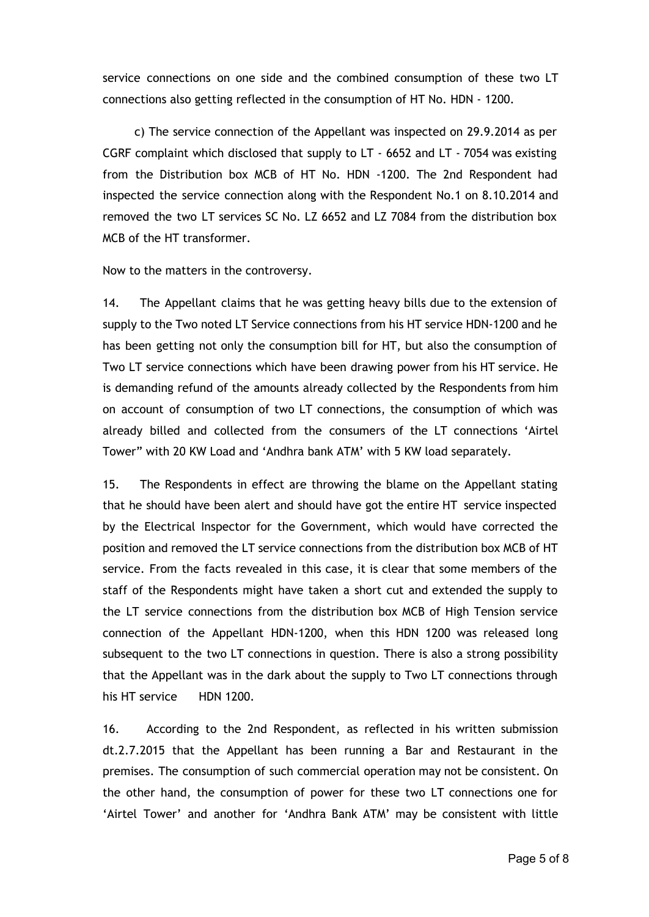service connections on one side and the combined consumption of these two LT connections also getting reflected in the consumption of HT No. HDN - 1200.

c) The service connection of the Appellant was inspected on 29.9.2014 as per CGRF complaint which disclosed that supply to LT - 6652 and LT - 7054 was existing from the Distribution box MCB of HT No. HDN -1200. The 2nd Respondent had inspected the service connection along with the Respondent No.1 on 8.10.2014 and removed the two LT services SC No. LZ 6652 and LZ 7084 from the distribution box MCB of the HT transformer.

Now to the matters in the controversy.

14. The Appellant claims that he was getting heavy bills due to the extension of supply to the Two noted LT Service connections from his HT service HDN-1200 and he has been getting not only the consumption bill for HT, but also the consumption of Two LT service connections which have been drawing power from his HT service. He is demanding refund of the amounts already collected by the Respondents from him on account of consumption of two LT connections, the consumption of which was already billed and collected from the consumers of the LT connections 'Airtel Tower" with 20 KW Load and 'Andhra bank ATM' with 5 KW load separately.

15. The Respondents in effect are throwing the blame on the Appellant stating that he should have been alert and should have got the entire HT service inspected by the Electrical Inspector for the Government, which would have corrected the position and removed the LT service connections from the distribution box MCB of HT service. From the facts revealed in this case, it is clear that some members of the staff of the Respondents might have taken a short cut and extended the supply to the LT service connections from the distribution box MCB of High Tension service connection of the Appellant HDN-1200, when this HDN 1200 was released long subsequent to the two LT connections in question. There is also a strong possibility that the Appellant was in the dark about the supply to Two LT connections through his HT service HDN 1200.

16. According to the 2nd Respondent, as reflected in his written submission dt.2.7.2015 that the Appellant has been running a Bar and Restaurant in the premises. The consumption of such commercial operation may not be consistent. On the other hand, the consumption of power for these two LT connections one for 'Airtel Tower' and another for 'Andhra Bank ATM' may be consistent with little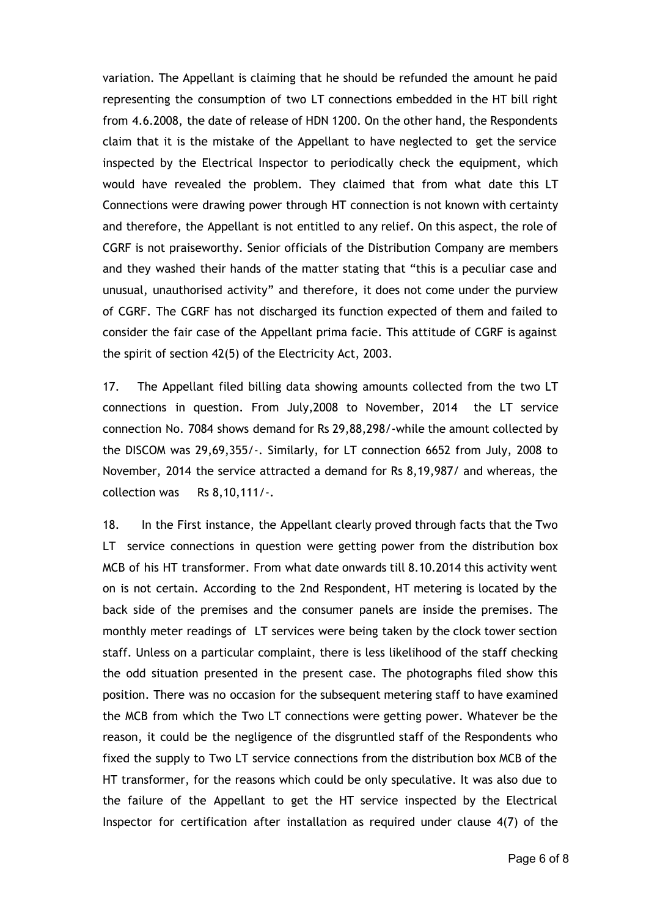variation. The Appellant is claiming that he should be refunded the amount he paid representing the consumption of two LT connections embedded in the HT bill right from 4.6.2008, the date of release of HDN 1200. On the other hand, the Respondents claim that it is the mistake of the Appellant to have neglected to get the service inspected by the Electrical Inspector to periodically check the equipment, which would have revealed the problem. They claimed that from what date this LT Connections were drawing power through HT connection is not known with certainty and therefore, the Appellant is not entitled to any relief. On this aspect, the role of CGRF is not praiseworthy. Senior officials of the Distribution Company are members and they washed their hands of the matter stating that "this is a peculiar case and unusual, unauthorised activity" and therefore, it does not come under the purview of CGRF. The CGRF has not discharged its function expected of them and failed to consider the fair case of the Appellant prima facie. This attitude of CGRF is against the spirit of section 42(5) of the Electricity Act, 2003.

17. The Appellant filed billing data showing amounts collected from the two LT connections in question. From July,2008 to November, 2014 the LT service connection No. 7084 shows demand for Rs 29,88,298/-while the amount collected by the DISCOM was 29,69,355/-. Similarly, for LT connection 6652 from July, 2008 to November, 2014 the service attracted a demand for Rs 8,19,987/ and whereas, the collection was Rs 8,10,111/-.

18. In the First instance, the Appellant clearly proved through facts that the Two LT service connections in question were getting power from the distribution box MCB of his HT transformer. From what date onwards till 8.10.2014 this activity went on is not certain. According to the 2nd Respondent, HT metering is located by the back side of the premises and the consumer panels are inside the premises. The monthly meter readings of LT services were being taken by the clock tower section staff. Unless on a particular complaint, there is less likelihood of the staff checking the odd situation presented in the present case. The photographs filed show this position. There was no occasion for the subsequent metering staff to have examined the MCB from which the Two LT connections were getting power. Whatever be the reason, it could be the negligence of the disgruntled staff of the Respondents who fixed the supply to Two LT service connections from the distribution box MCB of the HT transformer, for the reasons which could be only speculative. It was also due to the failure of the Appellant to get the HT service inspected by the Electrical Inspector for certification after installation as required under clause 4(7) of the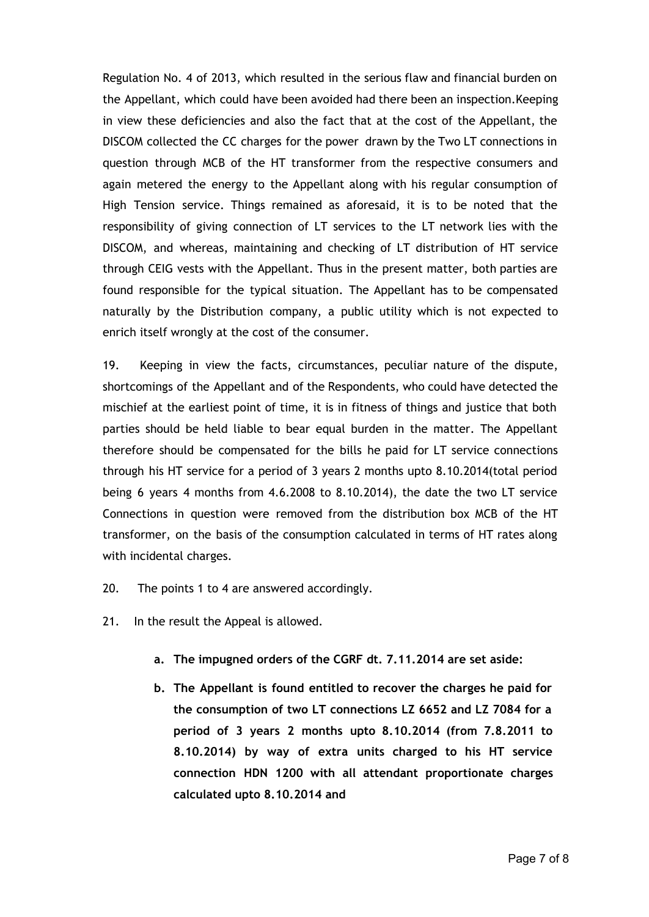Regulation No. 4 of 2013, which resulted in the serious flaw and financial burden on the Appellant, which could have been avoided had there been an inspection.Keeping in view these deficiencies and also the fact that at the cost of the Appellant, the DISCOM collected the CC charges for the power drawn by the Two LT connections in question through MCB of the HT transformer from the respective consumers and again metered the energy to the Appellant along with his regular consumption of High Tension service. Things remained as aforesaid, it is to be noted that the responsibility of giving connection of LT services to the LT network lies with the DISCOM, and whereas, maintaining and checking of LT distribution of HT service through CEIG vests with the Appellant. Thus in the present matter, both parties are found responsible for the typical situation. The Appellant has to be compensated naturally by the Distribution company, a public utility which is not expected to enrich itself wrongly at the cost of the consumer.

19. Keeping in view the facts, circumstances, peculiar nature of the dispute, shortcomings of the Appellant and of the Respondents, who could have detected the mischief at the earliest point of time, it is in fitness of things and justice that both parties should be held liable to bear equal burden in the matter. The Appellant therefore should be compensated for the bills he paid for LT service connections through his HT service for a period of 3 years 2 months upto 8.10.2014(total period being 6 years 4 months from 4.6.2008 to 8.10.2014), the date the two LT service Connections in question were removed from the distribution box MCB of the HT transformer, on the basis of the consumption calculated in terms of HT rates along with incidental charges.

- 20. The points 1 to 4 are answered accordingly.
- 21. In the result the Appeal is allowed.
	- **a. The impugned orders of the CGRF dt. 7.11.2014 are set aside:**
	- **b. The Appellant is found entitled to recover the charges he paid for the consumption of two LT connections LZ 6652 and LZ 7084 for a period of 3 years 2 months upto 8.10.2014 (from 7.8.2011 to 8.10.2014) by way of extra units charged to his HT service connection HDN 1200 with all attendant proportionate charges calculated upto 8.10.2014 and**